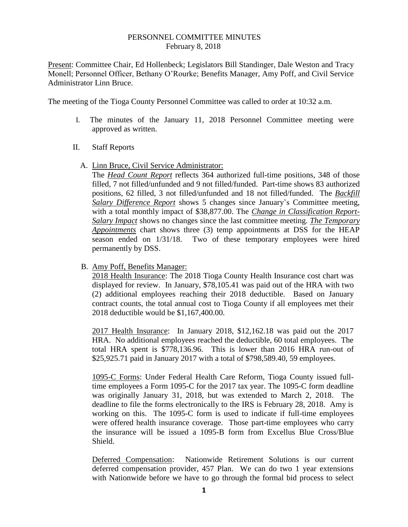## PERSONNEL COMMITTEE MINUTES February 8, 2018

Present: Committee Chair, Ed Hollenbeck; Legislators Bill Standinger, Dale Weston and Tracy Monell; Personnel Officer, Bethany O'Rourke; Benefits Manager, Amy Poff, and Civil Service Administrator Linn Bruce.

The meeting of the Tioga County Personnel Committee was called to order at 10:32 a.m.

- I. The minutes of the January 11, 2018 Personnel Committee meeting were approved as written.
- II. Staff Reports
	- A. Linn Bruce, Civil Service Administrator:

The *Head Count Report* reflects 364 authorized full-time positions, 348 of those filled, 7 not filled/unfunded and 9 not filled/funded. Part-time shows 83 authorized positions, 62 filled, 3 not filled/unfunded and 18 not filled/funded. The *Backfill Salary Difference Report* shows 5 changes since January's Committee meeting, with a total monthly impact of \$38,877.00. The *Change in Classification Report-Salary Impact* shows no changes since the last committee meeting. *The Temporary Appointments* chart shows three (3) temp appointments at DSS for the HEAP season ended on 1/31/18. Two of these temporary employees were hired permanently by DSS.

B. Amy Poff, Benefits Manager:

2018 Health Insurance: The 2018 Tioga County Health Insurance cost chart was displayed for review. In January, \$78,105.41 was paid out of the HRA with two (2) additional employees reaching their 2018 deductible. Based on January contract counts, the total annual cost to Tioga County if all employees met their 2018 deductible would be \$1,167,400.00.

2017 Health Insurance: In January 2018, \$12,162.18 was paid out the 2017 HRA. No additional employees reached the deductible, 60 total employees. The total HRA spent is \$778,136.96. This is lower than 2016 HRA run-out of \$25,925.71 paid in January 2017 with a total of \$798,589.40, 59 employees.

1095-C Forms: Under Federal Health Care Reform, Tioga County issued fulltime employees a Form 1095-C for the 2017 tax year. The 1095-C form deadline was originally January 31, 2018, but was extended to March 2, 2018. The deadline to file the forms electronically to the IRS is February 28, 2018. Amy is working on this. The 1095-C form is used to indicate if full-time employees were offered health insurance coverage. Those part-time employees who carry the insurance will be issued a 1095-B form from Excellus Blue Cross/Blue Shield.

Deferred Compensation: Nationwide Retirement Solutions is our current deferred compensation provider, 457 Plan. We can do two 1 year extensions with Nationwide before we have to go through the formal bid process to select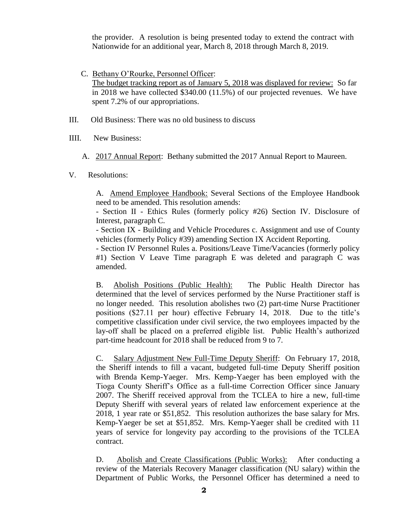the provider. A resolution is being presented today to extend the contract with Nationwide for an additional year, March 8, 2018 through March 8, 2019.

- C. Bethany O'Rourke, Personnel Officer: The budget tracking report as of January 5, 2018 was displayed for review: So far in 2018 we have collected \$340.00 (11.5%) of our projected revenues. We have spent 7.2% of our appropriations.
- III. Old Business: There was no old business to discuss
- IIII. New Business:
	- A. 2017 Annual Report: Bethany submitted the 2017 Annual Report to Maureen.
- V. Resolutions:

A. Amend Employee Handbook: Several Sections of the Employee Handbook need to be amended. This resolution amends:

- Section II - Ethics Rules (formerly policy #26) Section IV. Disclosure of Interest, paragraph C.

- Section IX - Building and Vehicle Procedures c. Assignment and use of County vehicles (formerly Policy #39) amending Section IX Accident Reporting.

- Section IV Personnel Rules a. Positions/Leave Time/Vacancies (formerly policy #1) Section V Leave Time paragraph E was deleted and paragraph C was amended.

B. Abolish Positions (Public Health): The Public Health Director has determined that the level of services performed by the Nurse Practitioner staff is no longer needed. This resolution abolishes two (2) part-time Nurse Practitioner positions (\$27.11 per hour) effective February 14, 2018. Due to the title's competitive classification under civil service, the two employees impacted by the lay-off shall be placed on a preferred eligible list. Public Health's authorized part-time headcount for 2018 shall be reduced from 9 to 7.

C. Salary Adjustment New Full-Time Deputy Sheriff: On February 17, 2018, the Sheriff intends to fill a vacant, budgeted full-time Deputy Sheriff position with Brenda Kemp-Yaeger. Mrs. Kemp-Yaeger has been employed with the Tioga County Sheriff's Office as a full-time Correction Officer since January 2007. The Sheriff received approval from the TCLEA to hire a new, full-time Deputy Sheriff with several years of related law enforcement experience at the 2018, 1 year rate or \$51,852. This resolution authorizes the base salary for Mrs. Kemp-Yaeger be set at \$51,852. Mrs. Kemp-Yaeger shall be credited with 11 years of service for longevity pay according to the provisions of the TCLEA contract.

D. Abolish and Create Classifications (Public Works): After conducting a review of the Materials Recovery Manager classification (NU salary) within the Department of Public Works, the Personnel Officer has determined a need to